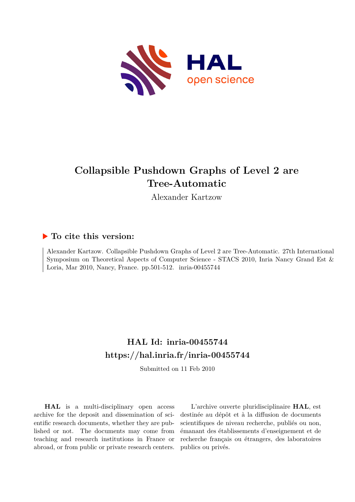

# **Collapsible Pushdown Graphs of Level 2 are Tree-Automatic**

Alexander Kartzow

### **To cite this version:**

Alexander Kartzow. Collapsible Pushdown Graphs of Level 2 are Tree-Automatic. 27th International Symposium on Theoretical Aspects of Computer Science - STACS 2010, Inria Nancy Grand Est & Loria, Mar 2010, Nancy, France. pp. 501-512. inria-00455744

## **HAL Id: inria-00455744 <https://hal.inria.fr/inria-00455744>**

Submitted on 11 Feb 2010

**HAL** is a multi-disciplinary open access archive for the deposit and dissemination of scientific research documents, whether they are published or not. The documents may come from teaching and research institutions in France or abroad, or from public or private research centers.

L'archive ouverte pluridisciplinaire **HAL**, est destinée au dépôt et à la diffusion de documents scientifiques de niveau recherche, publiés ou non, émanant des établissements d'enseignement et de recherche français ou étrangers, des laboratoires publics ou privés.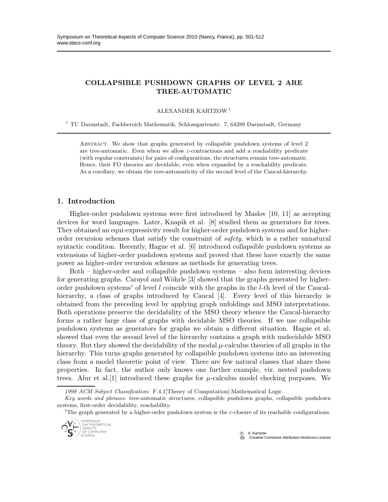### COLLAPSIBLE PUSHDOWN GRAPHS OF LEVEL 2 ARE TREE-AUTOMATIC

ALEXANDER KARTZOW<sup>1</sup>

<sup>1</sup> TU Darmstadt, Fachbereich Mathematik, Schlossgartenstr. 7, 64289 Darmstadt, Germany

ABSTRACT. We show that graphs generated by collapsible pushdown systems of level 2 are tree-automatic. Even when we allow  $\varepsilon$ -contractions and add a reachability predicate (with regular constraints) for pairs of configurations, the structures remain tree-automatic. Hence, their FO theories are decidable, even when expanded by a reachability predicate. As a corollary, we obtain the tree-automaticity of the second level of the Caucal-hierarchy.

#### 1. Introduction

Higher-order pushdown systems were first introduced by Maslov [10, 11] as accepting devices for word languages. Later, Knapik et al. [8] studied them as generators for trees. They obtained an equi-expressivity result for higher-order pushdown systems and for higherorder recursion schemes that satisfy the constraint of safety, which is a rather unnatural syntactic condition. Recently, Hague et al. [6] introduced collapsible pushdown systems as extensions of higher-order pushdown systems and proved that these have exactly the same power as higher-order recursion schemes as methods for generating trees.

Both – higher-order and collapsible pushdown systems – also form interesting devices for generating graphs. Carayol and Wöhrle [3] showed that the graphs generated by higherorder pushdown systems<sup>1</sup> of level  $l$  coincide with the graphs in the  $l$ -th level of the Caucalhierarchy, a class of graphs introduced by Caucal [4]. Every level of this hierarchy is obtained from the preceding level by applying graph unfoldings and MSO interpretations. Both operations preserve the decidability of the MSO theory whence the Caucal-hierarchy forms a rather large class of graphs with decidable MSO theories. If we use collapsible pushdown systems as generators for graphs we obtain a different situation. Hague et al. showed that even the second level of the hierarchy contains a graph with undecidable MSO theory. But they showed the decidability of the modal  $\mu$ -calculus theories of all graphs in the hierarchy. This turns graphs generated by collapsible pushdown systems into an interesting class from a model theoretic point of view. There are few natural classes that share these properties. In fact, the author only knows one further example, viz. nested pushdown trees. Alur et al. [1] introduced these graphs for  $\mu$ -calculus model checking purposes. We

*1998 ACM Subject Classification:* F.4.1[Theory of Computation]:Mathematical Logic.

<sup>&</sup>lt;sup>1</sup>The graph generated by a higher-order pushdown system is the  $\varepsilon$ -closure of its reachable configurations.



C A. Kartzov<br>
C Creative **Creative Commons Attribution-NoDerivs License** 

*Key words and phrases:* tree-automatic structures, collapsible pushdown graphs, collapsible pushdown systems, first-order decidability, reachability.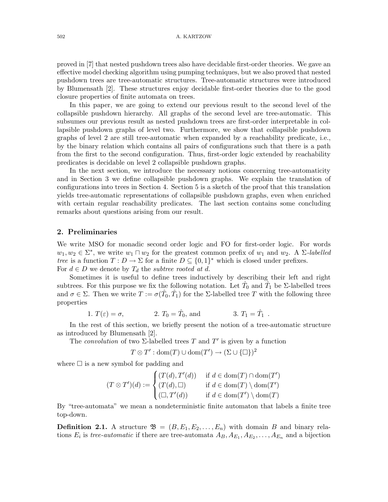#### 502 A. KARTZOW

proved in [7] that nested pushdown trees also have decidable first-order theories. We gave an effective model checking algorithm using pumping techniques, but we also proved that nested pushdown trees are tree-automatic structures. Tree-automatic structures were introduced by Blumensath [2]. These structures enjoy decidable first-order theories due to the good closure properties of finite automata on trees.

In this paper, we are going to extend our previous result to the second level of the collapsible pushdown hierarchy. All graphs of the second level are tree-automatic. This subsumes our previous result as nested pushdown trees are first-order interpretable in collapsible pushdown graphs of level two. Furthermore, we show that collapsible pushdown graphs of level 2 are still tree-automatic when expanded by a reachability predicate, i.e., by the binary relation which contains all pairs of configurations such that there is a path from the first to the second configuration. Thus, first-order logic extended by reachability predicates is decidable on level 2 collapsible pushdown graphs.

In the next section, we introduce the necessary notions concerning tree-automaticity and in Section 3 we define collapsible pushdown graphs. We explain the translation of configurations into trees in Section 4. Section 5 is a sketch of the proof that this translation yields tree-automatic representations of collapsible pushdown graphs, even when enriched with certain regular reachability predicates. The last section contains some concluding remarks about questions arising from our result.

#### 2. Preliminaries

We write MSO for monadic second order logic and FO for first-order logic. For words  $w_1, w_2 \in \Sigma^*$ , we write  $w_1 \sqcap w_2$  for the greatest common prefix of  $w_1$  and  $w_2$ . A  $\Sigma$ -labelled tree is a function  $T: D \to \Sigma$  for a finite  $D \subseteq \{0,1\}^*$  which is closed under prefixes. For  $d \in D$  we denote by  $T_d$  the *subtree rooted at d*.

Sometimes it is useful to define trees inductively by describing their left and right subtrees. For this purpose we fix the following notation. Let  $\hat{T}_0$  and  $\hat{T}_1$  be  $\Sigma$ -labelled trees and  $\sigma \in \Sigma$ . Then we write  $T := \sigma(\hat{T}_0, \hat{T}_1)$  for the  $\Sigma$ -labelled tree T with the following three properties

1. 
$$
T(\varepsilon) = \sigma
$$
, 2.  $T_0 = \hat{T}_0$ , and 3.  $T_1 = \hat{T}_1$ .

In the rest of this section, we briefly present the notion of a tree-automatic structure as introduced by Blumensath [2].

The convolution of two  $\Sigma$ -labelled trees T and T' is given by a function

$$
T \otimes T' : \text{dom}(T) \cup \text{dom}(T') \to (\Sigma \cup \{\square\})^2
$$

where  $\square$  is a new symbol for padding and

$$
(T \otimes T')(d) := \begin{cases} (T(d), T'(d)) & \text{if } d \in \text{dom}(T) \cap \text{dom}(T') \\ (T(d), \Box) & \text{if } d \in \text{dom}(T) \setminus \text{dom}(T') \\ (\Box, T'(d)) & \text{if } d \in \text{dom}(T') \setminus \text{dom}(T) \end{cases}
$$

By "tree-automata" we mean a nondeterministic finite automaton that labels a finite tree top-down.

**Definition 2.1.** A structure  $\mathfrak{B} = (B, E_1, E_2, \ldots, E_n)$  with domain B and binary relations  $E_i$  is tree-automatic if there are tree-automata  $A_B, A_{E_1}, A_{E_2}, \ldots, A_{E_n}$  and a bijection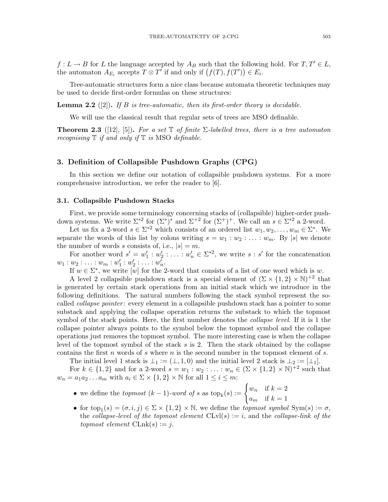$f: L \to B$  for L the language accepted by  $A_B$  such that the following hold. For  $T, T' \in L$ , the automaton  $A_{E_i}$  accepts  $T \otimes T'$  if and only if  $(f(T), f(T')) \in E_i$ .

Tree-automatic structures form a nice class because automata theoretic techniques may be used to decide first-order formulas on these structures:

**Lemma 2.2** ([2]). If B is tree-automatic, then its first-order theory is decidable.

We will use the classical result that regular sets of trees are MSO definable.

**Theorem 2.3** ([12], [5]). For a set  $\mathbb T$  of finite  $\Sigma$ -labelled trees, there is a tree automaton recognising  $\mathbb T$  if and only if  $\mathbb T$  is MSO definable.

#### 3. Definition of Collapsible Pushdown Graphs (CPG)

In this section we define our notation of collapsible pushdown systems. For a more comprehensive introduction, we refer the reader to [6].

#### 3.1. Collapsible Pushdown Stacks

First, we provide some terminology concerning stacks of (collapsible) higher-order pushdown systems. We write  $\Sigma^{*2}$  for  $(\Sigma^*)^*$  and  $\Sigma^{+2}$  for  $(\Sigma^+)^+$ . We call an  $s \in \Sigma^{*2}$  a 2-word.

Let us fix a 2-word  $s \in \Sigma^{*2}$  which consists of an ordered list  $w_1, w_2, \ldots, w_m \in \Sigma^*$ . We separate the words of this list by colons writing  $s = w_1 : w_2 : \ldots : w_m$ . By |s| we denote the number of words s consists of, i.e.,  $|s| = m$ .

For another word  $s' = w_1'$  $y'_{1}: w'_{2}$  $w'_1$  :  $w'_2$   $\in \Sigma^{*2}$ , we write  $s : s'$  for the concatenation  $w_1:w_2:\ldots:w_m:w'_1$  $'_{1}:w'_{2}$  $y'_2: \ldots: w'_n.$ 

If  $w \in \Sigma^*$ , we write  $\omega$  for the 2-word that consists of a list of one word which is w.

A level 2 collapsible pushdown stack is a special element of  $(\Sigma \times \{1,2\} \times N)^{+2}$  that is generated by certain stack operations from an initial stack which we introduce in the following definitions. The natural numbers following the stack symbol represent the socalled *collapse pointer*: every element in a collapsible pushdown stack has a pointer to some substack and applying the collapse operation returns the substack to which the topmost symbol of the stack points. Here, the first number denotes the *collapse level*. If it is 1 the collapse pointer always points to the symbol below the topmost symbol and the collapse operations just removes the topmost symbol. The more interesting case is when the collapse level of the topmost symbol of the stack s is 2. Then the stack obtained by the collapse contains the first n words of s where  $n$  is the second number in the topmost element of s.

The initial level 1 stack is  $\bot_1 := (\bot, 1, 0)$  and the initial level 2 stack is  $\bot_2 := [\bot_1]$ .

For  $k \in \{1,2\}$  and for a 2-word  $s = w_1 : w_2 : \ldots : w_n \in (\Sigma \times \{1,2\} \times \mathbb{N})^{+2}$  such that  $w_n = a_1 a_2 \ldots a_m$  with  $a_i \in \Sigma \times \{1,2\} \times \mathbb{N}$  for all  $1 \leq i \leq m$ :

- we define the *topmost*  $(k-1)$ -word of s as  $top_k(s) :=$  $\int w_n$  if  $k=2$  $a_m$  if  $k=1$
- for  $top_1(s) = (\sigma, i, j) \in \Sigma \times \{1, 2\} \times \mathbb{N}$ , we define the *topmost symbol* Sym $(s) := \sigma$ , the collapse-level of the topmost element  $CLvl(s) := i$ , and the collapse-link of the topmost element  $CLnk(s) := j$ .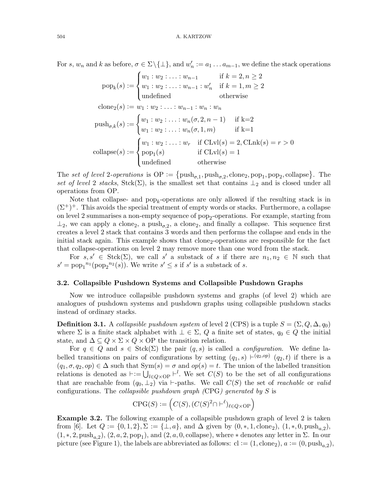For s,  $w_n$  and k as before,  $\sigma \in \Sigma \setminus \{\bot\}$ , and  $w'_n := a_1 \dots a_{m-1}$ , we define the stack operations

$$
pop_k(s) := \begin{cases} w_1 : w_2 : \dots : w_{n-1} & \text{if } k = 2, n \ge 2 \\ w_1 : w_2 : \dots : w_{n-1} : w'_n & \text{if } k = 1, m \ge 2 \\ \text{undefined} & \text{otherwise} \end{cases}
$$
  
\n
$$
clone_2(s) := w_1 : w_2 : \dots : w_{n-1} : w_n : w_n
$$
  
\n
$$
push_{\sigma,k}(s) := \begin{cases} w_1 : w_2 : \dots : w_n(\sigma, 2, n-1) & \text{if } k=2 \\ w_1 : w_2 : \dots : w_n(\sigma, 1, m) & \text{if } k=1 \end{cases}
$$
  
\n
$$
collapse(s) := \begin{cases} w_1 : w_2 : \dots : w_r & \text{if } CLvl(s) = 2, CLnk(s) = r > 0 \\ pop_1(s) & \text{if } CLvl(s) = 1 \\ \text{undefined} & \text{otherwise} \end{cases}
$$

The set of level 2-operations is  $\text{OP} := \{ \text{push}_{\sigma,1}, \text{push}_{\sigma,2}, \text{clone}_2, \text{pop}_1, \text{pop}_2, \text{collapse} \}.$  The set of level 2 stacks, Stck( $\Sigma$ ), is the smallest set that contains  $\perp_2$  and is closed under all operations from OP.

Note that collapse- and  $\text{pop}_k$ -operations are only allowed if the resulting stack is in  $(\Sigma^+)^+$ . This avoids the special treatment of empty words or stacks. Furthermore, a collapse on level 2 summarises a non-empty sequence of  $\text{pop}_2$ -operations. For example, starting from  $\perp_2$ , we can apply a clone<sub>2</sub>, a push<sub> $\sigma$ </sub>, a clone<sub>2</sub>, and finally a collapse. This sequence first creates a level 2 stack that contains 3 words and then performs the collapse and ends in the initial stack again. This example shows that  $\text{clone}_2$ -operations are responsible for the fact that collapse-operations on level 2 may remove more than one word from the stack.

For  $s, s' \in \text{Stck}(\Sigma)$ , we call s' a substack of s if there are  $n_1, n_2 \in \mathbb{N}$  such that  $s' = \text{pop}_1^{n_1}(\text{pop}_2^{n_2}(s))$ . We write  $s' \leq s$  if  $s'$  is a substack of s.

#### 3.2. Collapsible Pushdown Systems and Collapsible Pushdown Graphs

Now we introduce collapsible pushdown systems and graphs (of level 2) which are analogues of pushdown systems and pushdown graphs using collapsible pushdown stacks instead of ordinary stacks.

**Definition 3.1.** A collapsible pushdown system of level 2 (CPS) is a tuple  $S = (\Sigma, Q, \Delta, q_0)$ where  $\Sigma$  is a finite stack alphabet with  $\bot \in \Sigma$ , Q a finite set of states,  $q_0 \in Q$  the initial state, and  $\Delta \subseteq Q \times \Sigma \times Q \times \Omega$  the transition relation.

For  $q \in Q$  and  $s \in \text{Stck}(\Sigma)$  the pair  $(q, s)$  is called a *configuration*. We define labelled transitions on pairs of configurations by setting  $(q_1, s) \vdash^{(q_2, op)} (q_2, t)$  if there is a  $(q_1, \sigma, q_2, op) \in \Delta$  such that  $Sym(s) = \sigma$  and  $op(s) = t$ . The union of the labelled transition relations is denoted as  $\vdash := \bigcup_{l \in Q \times \mathrm{OP}} \vdash^l$ . We set  $C(S)$  to be the set of all configurations that are reachable from  $(q_0, \perp_2)$  via ⊢-paths. We call  $C(S)$  the set of *reachable* or valid configurations. The *collapsible pushdown qraph* (CPG) generated by  $S$  is

$$
\text{CPG}(S) := \left( C(S), (C(S)^2 \cap \text{--}^{\ell})_{\ell \in Q \times \text{OP}} \right)
$$

Example 3.2. The following example of a collapsible pushdown graph of level 2 is taken from [6]. Let  $Q := \{0, 1, 2\}, \Sigma := \{\perp, a\}$ , and  $\Delta$  given by  $(0, *, 1, \text{clone}_2), (1, *, 0, \text{push}_{a,2}),$  $(1, *, 2, push_{a,2}), (2, a, 2, pop_1), and (2, a, 0, collapse), where * denotes any letter in  $\Sigma$ . In our$ picture (see Figure 1), the labels are abbreviated as follows:  $cl := (1, clone_2), a := (0, push_{a,2}),$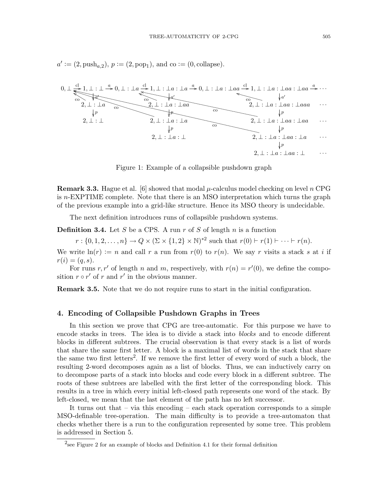

 $a' := (2, \text{push}_{a,2}), p := (2, \text{pop}_1), \text{ and } \text{co} := (0, \text{collapse}).$ 

Figure 1: Example of a collapsible pushdown graph

**Remark 3.3.** Hague et al. [6] showed that modal  $\mu$ -calculus model checking on level n CPG is  $n$ -EXPTIME complete. Note that there is an MSO interpretation which turns the graph of the previous example into a grid-like structure. Hence its MSO theory is undecidable.

The next definition introduces runs of collapsible pushdown systems.

**Definition 3.4.** Let S be a CPS. A run r of S of length n is a function

 $r: \{0, 1, 2, \ldots, n\} \to Q \times (\Sigma \times \{1, 2\} \times N)^{*2}$  such that  $r(0) \vdash r(1) \vdash \cdots \vdash r(n)$ .

We write  $ln(r) := n$  and call r a run from  $r(0)$  to  $r(n)$ . We say r visits a stack s at i if  $r(i) = (q, s).$ 

For runs r, r' of length n and m, respectively, with  $r(n) = r'(0)$ , we define the composition  $r \circ r'$  of  $r$  and  $r'$  in the obvious manner.

Remark 3.5. Note that we do not require runs to start in the initial configuration.

#### 4. Encoding of Collapsible Pushdown Graphs in Trees

In this section we prove that CPG are tree-automatic. For this purpose we have to encode stacks in trees. The idea is to divide a stack into blocks and to encode different blocks in different subtrees. The crucial observation is that every stack is a list of words that share the same first letter. A block is a maximal list of words in the stack that share the same two first letters<sup>2</sup>. If we remove the first letter of every word of such a block, the resulting 2-word decomposes again as a list of blocks. Thus, we can inductively carry on to decompose parts of a stack into blocks and code every block in a different subtree. The roots of these subtrees are labelled with the first letter of the corresponding block. This results in a tree in which every initial left-closed path represents one word of the stack. By left-closed, we mean that the last element of the path has no left successor.

It turns out that – via this encoding – each stack operation corresponds to a simple MSO-definable tree-operation. The main difficulty is to provide a tree-automaton that checks whether there is a run to the configuration represented by some tree. This problem is addressed in Section 5.

<sup>&</sup>lt;sup>2</sup>see Figure 2 for an example of blocks and Definition 4.1 for their formal definition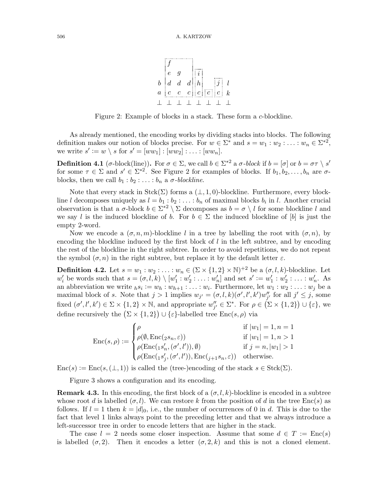

Figure 2: Example of blocks in a stack. These form a c-blockline.

As already mentioned, the encoding works by dividing stacks into blocks. The following definition makes our notion of blocks precise. For  $w \in \Sigma^*$  and  $s = w_1 : w_2 : \ldots : w_n \in \Sigma^{*2}$ , we write  $s' := w \setminus s$  for  $s' = [ww_1] : [ww_2] : \ldots : [ww_n]$ .

**Definition 4.1** (*σ*-block(line)). For  $\sigma \in \Sigma$ , we call  $b \in \Sigma^{*2}$  a  $\sigma$ -block if  $b = [\sigma]$  or  $b = \sigma \tau \setminus s'$ for some  $\tau \in \Sigma$  and  $s' \in \Sigma^{*2}$ . See Figure 2 for examples of blocks. If  $b_1, b_2, \ldots, b_n$  are  $\sigma$ blocks, then we call  $b_1 : b_2 : \ldots : b_n$  a  $\sigma$ -blockline.

Note that every stack in  $Stck(\Sigma)$  forms a  $(\bot, 1, 0)$ -blockline. Furthermore, every blockline l decomposes uniquely as  $l = b_1 : b_2 : \ldots : b_n$  of maximal blocks  $b_i$  in l. Another crucial observation is that a  $\sigma$ -block  $b \in \Sigma^{*2} \setminus \Sigma$  decomposes as  $b = \sigma \setminus l$  for some blockline l and we say l is the induced blockline of b. For  $b \in \Sigma$  the induced blockline of [b] is just the empty 2-word.

Now we encode a  $(\sigma, n, m)$ -blockline l in a tree by labelling the root with  $(\sigma, n)$ , by encoding the blockline induced by the first block of l in the left subtree, and by encoding the rest of the blockline in the right subtree. In order to avoid repetitions, we do not repeat the symbol  $(\sigma, n)$  in the right subtree, but replace it by the default letter  $\varepsilon$ .

**Definition 4.2.** Let  $s = w_1 : w_2 : \ldots : w_n \in (\Sigma \times \{1, 2\} \times \mathbb{N})^{+2}$  be a  $(\sigma, l, k)$ -blockline. Let  $w_i'$  $s'_{i}$  be words such that  $s = (\sigma, l, k) \setminus [w'_{1}]$  $y'_{1}:w'_{2}$  $\mathbf{z}'_2 : \ldots : w'_n$  and set  $s' := w'_1$  $y_{1}^{'}:w_{2}^{'}$  $y'_{2}$ :...:  $w'_{n}$ . As an abbreviation we write  $h s_i := w_h : w_{h+1} : \ldots : w_i$ . Furthermore, let  $w_1 : w_2 : \ldots : w_j$  be a maximal block of s. Note that  $j > 1$  implies  $w_{j'} = (\sigma, l, k)(\sigma', l', k')w''_j$ " for all  $j' \leq j$ , some fixed  $(\sigma', l', k') \in \Sigma \times \{1, 2\} \times \mathbb{N}$ , and appropriate  $w''_i$  $'_{j'} \in \Sigma^*$ . For  $\rho \in (\Sigma \times \{1,2\}) \cup \{\varepsilon\}$ , we define recursively the  $(\Sigma \times \{1,2\}) \cup {\varepsilon\}$ -labelled tree Enc $(s,\rho)$  via

$$
\operatorname{Enc}(s,\rho) := \begin{cases} \rho & \quad \text{if } |w_1| = 1, n = 1 \\ \rho(\emptyset,\operatorname{Enc}(\scriptstyle{2} s_n, \varepsilon)) & \quad \text{if } |w_1| = 1, n > 1 \\ \rho(\operatorname{Enc}(\scriptstyle{1} s_n', (\sigma', l')), \emptyset) & \quad \text{if } j = n, |w_1| > 1 \\ \rho(\operatorname{Enc}(\scriptstyle{1} s_j', (\sigma', l')), \operatorname{Enc}(\scriptstyle{j+1} s_n, \varepsilon)) & \quad \text{otherwise.} \end{cases}
$$

 $Enc(s) := Enc(s, (\perp, 1))$  is called the (tree-)encoding of the stack  $s \in (, (\Sigma))$ .

Figure 3 shows a configuration and its encoding.

**Remark 4.3.** In this encoding, the first block of a  $(\sigma, l, k)$ -blockline is encoded in a subtree whose root d is labelled  $(\sigma, l)$ . We can restore k from the position of d in the tree Enc(s) as follows. If  $l = 1$  then  $k = |d|_0$ , i.e., the number of occurrences of 0 in d. This is due to the fact that level 1 links always point to the preceding letter and that we always introduce a left-successor tree in order to encode letters that are higher in the stack.

The case  $l = 2$  needs some closer inspection. Assume that some  $d \in T := \text{Enc}(s)$ is labelled  $(\sigma, 2)$ . Then it encodes a letter  $(\sigma, 2, k)$  and this is not a cloned element.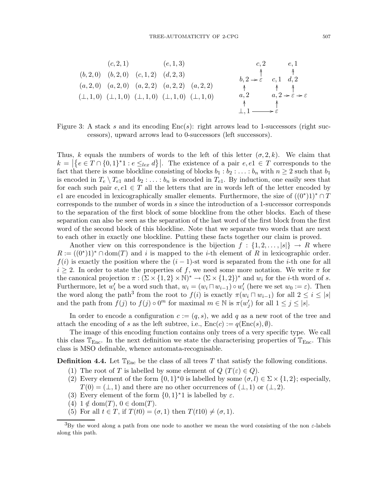

Figure 3: A stack s and its encoding  $Enc(s)$ : right arrows lead to 1-successors (right successors), upward arrows lead to 0-successors (left successors).

Thus, k equals the numbers of words to the left of this letter  $(\sigma, 2, k)$ . We claim that  $k = \left| \{ e \in T \cap \{0,1\}^* \mid i \in \leq_{lex} d \} \right|$ . The existence of a pair  $e, e1 \in T$  corresponds to the fact that there is some blockline consisting of blocks  $b_1 : b_2 : \ldots : b_n$  with  $n \geq 2$  such that  $b_1$ is encoded in  $T_e \setminus T_{e1}$  and  $b_2 : \ldots : b_n$  is encoded in  $T_{e1}$ . By induction, one easily sees that for each such pair  $e, e1 \in T$  all the letters that are in words left of the letter encoded by e1 are encoded in lexicographically smaller elements. Furthermore, the size of  $((0^*)1)^* \cap T$ corresponds to the number of words in s since the introduction of a 1-successor corresponds to the separation of the first block of some blockline from the other blocks. Each of these separation can also be seen as the separation of the last word of the first block from the first word of the second block of this blockline. Note that we separate two words that are next to each other in exactly one blockline. Putting these facts together our claim is proved.

Another view on this correspondence is the bijection  $f : \{1, 2, \ldots, |s|\} \rightarrow R$  where  $R := ((0^*)1)^* \cap \text{dom}(T)$  and i is mapped to the *i*-th element of R in lexicographic order.  $f(i)$  is exactly the position where the  $(i - 1)$ -st word is separated from the *i*-th one for all  $i \geq 2$ . In order to state the properties of f, we need some more notation. We write  $\pi$  for the canonical projection  $\pi : (\Sigma \times \{1,2\} \times \mathbb{N})^* \to (\Sigma \times \{1,2\})^*$  and  $w_i$  for the *i*-th word of *s*. Furthermore, let  $w'_i$  be a word such that,  $w_i = (w_i \sqcap w_{i-1}) \circ w'_i$  (here we set  $w_0 := \varepsilon$ ). Then the word along the path<sup>3</sup> from the root to  $f(i)$  is exactly  $\pi(w_i \sqcap w_{i-1})$  for all  $2 \leq i \leq |s|$ and the path from  $f(j)$  to  $f(j) \circ 0^m$  for maximal  $m \in \mathbb{N}$  is  $\pi(w'_j)$  for all  $1 \leq j \leq |s|$ .

In order to encode a configuration  $c := (q, s)$ , we add q as a new root of the tree and attach the encoding of s as the left subtree, i.e.,  $Enc(c) := q(Enc(s), \emptyset)$ .

The image of this encoding function contains only trees of a very specific type. We call this class  $\mathbb{T}_{\text{Enc}}$ . In the next definition we state the characterising properties of  $\mathbb{T}_{\text{Enc}}$ . This class is MSO definable, whence automata-recognisable.

**Definition 4.4.** Let  $\mathbb{T}_{\text{Enc}}$  be the class of all trees T that satisfy the following conditions.

- (1) The root of T is labelled by some element of  $Q(T(\varepsilon) \in Q)$ .
- (2) Every element of the form  $\{0,1\}^*0$  is labelled by some  $(\sigma, l) \in \Sigma \times \{1,2\}$ ; especially,  $T(0) = (\perp, 1)$  and there are no other occurrences of  $(\perp, 1)$  or  $(\perp, 2)$ .
- (3) Every element of the form  $\{0,1\}^*$  is labelled by  $\varepsilon$ .
- (4)  $1 \notin \text{dom}(T)$ ,  $0 \in \text{dom}(T)$ .
- (5) For all  $t \in T$ , if  $T(t0) = (\sigma, 1)$  then  $T(t10) \neq (\sigma, 1)$ .

 ${}^{3}$ By the word along a path from one node to another we mean the word consisting of the non  $\varepsilon$ -labels along this path.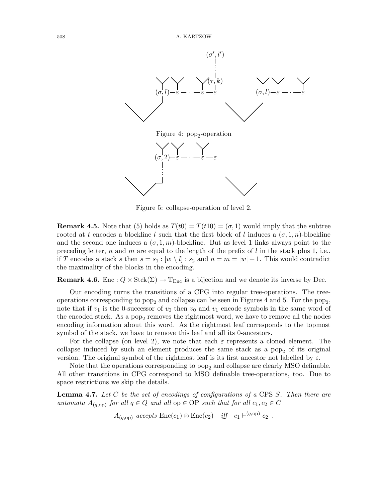



Figure 5: collapse-operation of level 2.

**Remark 4.5.** Note that (5) holds as  $T(t0) = T(t10) = (\sigma, 1)$  would imply that the subtree rooted at t encodes a blockline l such that the first block of l induces a  $(\sigma, 1, n)$ -blockline and the second one induces a  $(\sigma, 1, m)$ -blockline. But as level 1 links always point to the preceding letter, n and m are equal to the length of the prefix of  $l$  in the stack plus 1, i.e., if T encodes a stack s then  $s = s_1 : [w \setminus l] : s_2$  and  $n = m = |w| + 1$ . This would contradict the maximality of the blocks in the encoding.

**Remark 4.6.** Enc :  $Q \times \text{Stck}(\Sigma) \rightarrow \mathbb{T}_{\text{Enc}}$  is a bijection and we denote its inverse by Dec.

Our encoding turns the transitions of a CPG into regular tree-operations. The treeoperations corresponding to  $pop_2$  and collapse can be seen in Figures 4 and 5. For the  $pop_2$ , note that if  $v_1$  is the 0-successor of  $v_0$  then  $v_0$  and  $v_1$  encode symbols in the same word of the encoded stack. As a  $pop_2$  removes the rightmost word, we have to remove all the nodes encoding information about this word. As the rightmost leaf corresponds to the topmost symbol of the stack, we have to remove this leaf and all its 0-ancestors.

For the collapse (on level 2), we note that each  $\varepsilon$  represents a cloned element. The collapse induced by such an element produces the same stack as a  $pop<sub>2</sub>$  of its original version. The original symbol of the rightmost leaf is its first ancestor not labelled by  $\varepsilon$ .

Note that the operations corresponding to  $pop_2$  and collapse are clearly MSO definable. All other transitions in CPG correspond to MSO definable tree-operations, too. Due to space restrictions we skip the details.

**Lemma 4.7.** Let C be the set of encodings of configurations of a CPS S. Then there are automata  $A_{(q, \text{op})}$  for all  $q \in Q$  and all  $\text{op} \in \text{OP}$  such that for all  $c_1, c_2 \in C$ 

 $A_{(q,\text{op})}$  accepts  $\text{Enc}(c_1) \otimes \text{Enc}(c_2)$  iff  $c_1 \vdash^{(q,\text{op})} c_2$ .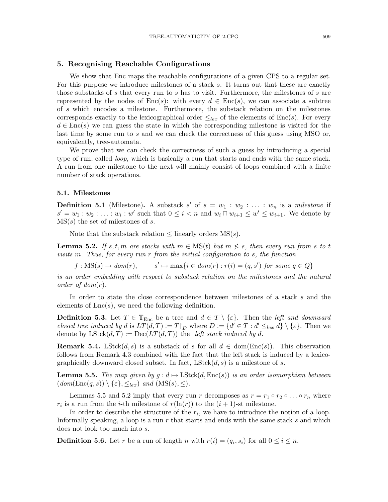#### 5. Recognising Reachable Configurations

We show that Enc maps the reachable configurations of a given CPS to a regular set. For this purpose we introduce milestones of a stack s. It turns out that these are exactly those substacks of s that every run to s has to visit. Furthermore, the milestones of s are represented by the nodes of  $Enc(s)$ : with every  $d \in Enc(s)$ , we can associate a subtree of s which encodes a milestone. Furthermore, the substack relation on the milestones corresponds exactly to the lexicographical order  $\leq_{lex}$  of the elements of Enc(s). For every  $d \in \text{Enc}(s)$  we can guess the state in which the corresponding milestone is visited for the last time by some run to s and we can check the correctness of this guess using MSO or, equivalently, tree-automata.

We prove that we can check the correctness of such a guess by introducing a special type of run, called *loop*, which is basically a run that starts and ends with the same stack. A run from one milestone to the next will mainly consist of loops combined with a finite number of stack operations.

#### 5.1. Milestones

**Definition 5.1** (Milestone). A substack s' of  $s = w_1 : w_2 : \ldots : w_n$  is a milestone if  $s' = w_1 : w_2 : \ldots : w_i : w'$  such that  $0 \leq i < n$  and  $w_i \sqcap w_{i+1} \leq w' \leq w_{i+1}$ . We denote by  $MS(s)$  the set of milestones of s.

Note that the substack relation  $\leq$  linearly orders MS(s).

**Lemma 5.2.** If s, t, m are stacks with  $m \in \text{MS}(t)$  but  $m \nleq s$ , then every run from s to t visits m. Thus, for every run r from the initial configuration to s, the function

 $f : MS(s) \rightarrow dom(r)$ ,  $\mapsto$  max $\{i \in dom(r) : r(i) = (q, s') \text{ for some } q \in Q\}$ 

is an order embedding with respect to substack relation on the milestones and the natural order of  $dom(r)$ .

In order to state the close correspondence between milestones of a stack s and the elements of  $Enc(s)$ , we need the following definition.

**Definition 5.3.** Let  $T \in \mathbb{T}_{\text{Enc}}$  be a tree and  $d \in T \setminus \{\varepsilon\}$ . Then the *left and downward* closed tree induced by d is  $LT(d,T) := T\upharpoonright_D$  where  $D := \{d' \in T : d' \leq_{lex} d\} \setminus \{\varepsilon\}.$  Then we denote by  $\text{LStck}(d, T) := \text{Dec}(LT(d, T))$  the *left stack induced by d.* 

**Remark 5.4.** LStck $(d, s)$  is a substack of s for all  $d \in \text{dom}(\text{Enc}(s))$ . This observation follows from Remark 4.3 combined with the fact that the left stack is induced by a lexicographically downward closed subset. In fact,  $\text{LStck}(d, s)$  is a milestone of s.

**Lemma 5.5.** The map given by  $g : d \mapsto \text{LStck}(d, \text{Enc}(s))$  is an order isomorphism between  $(dom(\text{Enc}(q, s)) \setminus {\varepsilon}, \leq_{lex})$  and  $(MS(s), \leq)$ .

Lemmas 5.5 and 5.2 imply that every run r decomposes as  $r = r_1 \circ r_2 \circ \ldots \circ r_n$  where  $r_i$  is a run from the *i*-th milestone of  $r(\ln(r))$  to the  $(i + 1)$ -st milestone.

In order to describe the structure of the  $r_i$ , we have to introduce the notion of a loop. Informally speaking, a loop is a run r that starts and ends with the same stack s and which does not look too much into s.

**Definition 5.6.** Let r be a run of length n with  $r(i) = (q_i, s_i)$  for all  $0 \le i \le n$ .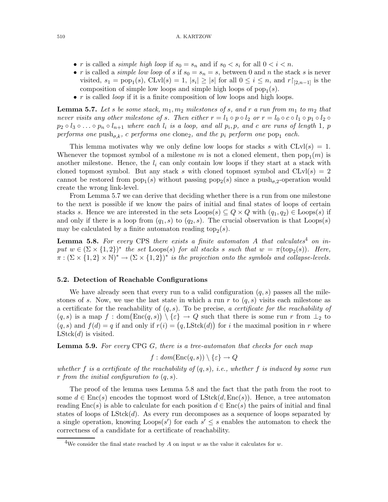- r is called a *simple high loop* if  $s_0 = s_n$  and if  $s_0 < s_i$  for all  $0 < i < n$ .
- r is called a *simple low loop* of s if  $s_0 = s_n = s$ , between 0 and n the stack s is never visited,  $s_1 = \text{pop}_1(s)$ ,  $CLvl(s) = 1$ ,  $|s_i| \geq |s|$  for all  $0 \leq i \leq n$ , and  $r\upharpoonright_{[2,n-1]}$  is the composition of simple low loops and simple high loops of  $pop_1(s)$ .
- $r$  is called *loop* if it is a finite composition of low loops and high loops.

**Lemma 5.7.** Let s be some stack,  $m_1, m_2$  milestones of s, and r a run from  $m_1$  to  $m_2$  that never visits any other milestone of s. Then either  $r = l_1 \circ p \circ l_2$  or  $r = l_0 \circ c \circ l_1 \circ p_1 \circ l_2 \circ$  $p_2 \circ l_3 \circ \ldots \circ p_n \circ l_{n+1}$  where each  $l_i$  is a loop, and all  $p_i, p$ , and c are runs of length 1, p performs one  $\text{push}_{\sigma,k}$ , c performs one clone<sub>2</sub>, and the  $p_i$  perform one  $\text{pop}_1$  each.

This lemma motivates why we only define low loops for stacks s with  $CLvl(s) = 1$ . Whenever the topmost symbol of a milestone m is not a cloned element, then  $pop_1(m)$  is another milestone. Hence, the  $l_i$  can only contain low loops if they start at a stack with cloned topmost symbol. But any stack s with cloned topmost symbol and  $CLvl(s) = 2$ cannot be restored from  $pop_1(s)$  without passing  $pop_2(s)$  since a  $push_{\sigma,2}$ -operation would create the wrong link-level.

From Lemma 5.7 we can derive that deciding whether there is a run from one milestone to the next is possible if we know the pairs of initial and final states of loops of certain stacks s. Hence we are interested in the sets  $\text{Loops}(s) \subseteq Q \times Q$  with  $(q_1, q_2) \in \text{Loops}(s)$  if and only if there is a loop from  $(q_1, s)$  to  $(q_2, s)$ . The crucial observation is that Loops(s) may be calculated by a finite automaton reading  $top_2(s)$ .

**Lemma 5.8.** For every CPS there exists a finite automaton A that calculates<sup>4</sup> on input  $w \in (\Sigma \times \{1,2\})^*$  the set Loops(s) for all stacks s such that  $w = \pi(\text{top}_2(s))$ . Here,  $\overline{\pi}: (\Sigma \times \{1,2\} \times \mathbb{N})^* \to (\Sigma \times \{1,2\})^*$  is the projection onto the symbols and collapse-levels.

#### 5.2. Detection of Reachable Configurations

We have already seen that every run to a valid configuration  $(q, s)$  passes all the milestones of s. Now, we use the last state in which a run r to  $(q, s)$  visits each milestone as a certificate for the reachability of  $(q, s)$ . To be precise, a certificate for the reachability of  $(q, s)$  is a map  $f : dom(Enc(q, s)) \setminus {\varepsilon} \rightarrow Q$  such that there is some run r from  $\perp_2$  to  $(q, s)$  and  $f(d) = q$  if and only if  $r(i) = (q, LStck(d))$  for i the maximal position in r where  $LStck(d)$  is visited.

**Lemma 5.9.** For every CPG G, there is a tree-automaton that checks for each map

$$
f: dom(\text{Enc}(q, s)) \setminus \{\varepsilon\} \to Q
$$

whether f is a certificate of the reachability of  $(q, s)$ , i.e., whether f is induced by some run r from the initial configuration to  $(q, s)$ .

The proof of the lemma uses Lemma 5.8 and the fact that the path from the root to some  $d \in \text{Enc}(s)$  encodes the topmost word of  $\text{LStck}(d, \text{Enc}(s))$ . Hence, a tree automaton reading  $Enc(s)$  is able to calculate for each position  $d \in Enc(s)$  the pairs of initial and final states of loops of  $LStck(d)$ . As every run decomposes as a sequence of loops separated by a single operation, knowing  $\text{Loops}(s')$  for each  $s' \leq s$  enables the automaton to check the correctness of a candidate for a certificate of reachability.

<sup>&</sup>lt;sup>4</sup>We consider the final state reached by A on input w as the value it calculates for w.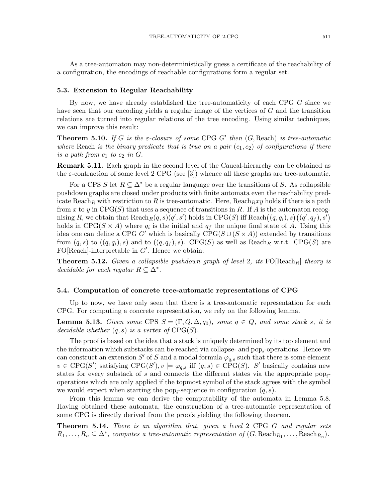As a tree-automaton may non-deterministically guess a certificate of the reachability of a configuration, the encodings of reachable configurations form a regular set.

#### 5.3. Extension to Regular Reachability

By now, we have already established the tree-automaticity of each CPG G since we have seen that our encoding yields a regular image of the vertices of G and the transition relations are turned into regular relations of the tree encoding. Using similar techniques, we can improve this result:

**Theorem 5.10.** If G is the  $\varepsilon$ -closure of some CPG G' then  $(G, Read)$  is tree-automatic where Reach is the binary predicate that is true on a pair  $(c_1, c_2)$  of configurations if there is a path from  $c_1$  to  $c_2$  in  $G$ .

Remark 5.11. Each graph in the second level of the Caucal-hierarchy can be obtained as the  $\varepsilon$ -contraction of some level 2 CPG (see [3]) whence all these graphs are tree-automatic.

For a CPS S let  $R \subseteq \Delta^*$  be a regular language over the transitions of S. As collapsible pushdown graphs are closed under products with finite automata even the reachability predicate Reach<sub>R</sub> with restriction to R is tree-automatic. Here, Reach<sub>Rxy</sub> holds if there is a path from x to y in  $CPG(S)$  that uses a sequence of transitions in R. If A is the automaton recognising R, we obtain that  $\text{Reach}_R(q,s)(q',s')$  holds in  $\text{CPG}(S)$  iff  $\text{Reach}\big((q,q_i),s\big)\big((q',q_f),s'\big)$ holds in CPG( $S \times A$ ) where  $q_i$  is the initial and  $q_f$  the unique final state of A. Using this idea one can define a CPG G' which is basically  $CPG(S \cup (S \times A))$  extended by transitions from  $(q, s)$  to  $((q, q_i), s)$  and to  $((q, q_f), s)$ . CPG(S) as well as Reach<sub>R</sub> w.r.t. CPG(S) are  $FO[Reach]$ -interpretable in  $G'$ . Hence we obtain:

**Theorem 5.12.** Given a collapsible pushdown graph of level 2, its  $FO[Reach_R]$  theory is decidable for each regular  $R \subseteq \Delta^*$ .

#### 5.4. Computation of concrete tree-automatic representations of CPG

Up to now, we have only seen that there is a tree-automatic representation for each CPG. For computing a concrete representation, we rely on the following lemma.

**Lemma 5.13.** Given some CPS  $S = (\Gamma, Q, \Delta, q_0)$ , some  $q \in Q$ , and some stack s, it is decidable whether  $(q, s)$  is a vertex of  $CPG(S)$ .

The proof is based on the idea that a stack is uniquely determined by its top element and the information which substacks can be reached via collapse- and  $\text{pop}_i$ -operations. Hence we can construct an extension S' of S and a modal formula  $\varphi_{q,s}$  such that there is some element  $v \in \text{CPG}(S')$  satisfying  $\text{CPG}(S'), v \models \varphi_{q,s}$  iff  $(q, s) \in \text{CPG}(S)$ . S' basically contains new states for every substack of s and connects the different states via the appropriate  $pop_i$ operations which are only applied if the topmost symbol of the stack agrees with the symbol we would expect when starting the  $\text{pop}_i$ -sequence in configuration  $(q, s)$ .

From this lemma we can derive the computability of the automata in Lemma 5.8. Having obtained these automata, the construction of a tree-automatic representation of some CPG is directly derived from the proofs yielding the following theorem.

**Theorem 5.14.** There is an algorithm that, given a level 2 CPG G and regular sets  $R_1, \ldots, R_n \subseteq \Delta^*$ , computes a tree-automatic representation of  $(G, \text{Reach}_{R_1}, \ldots, \text{Reach}_{R_n})$ .